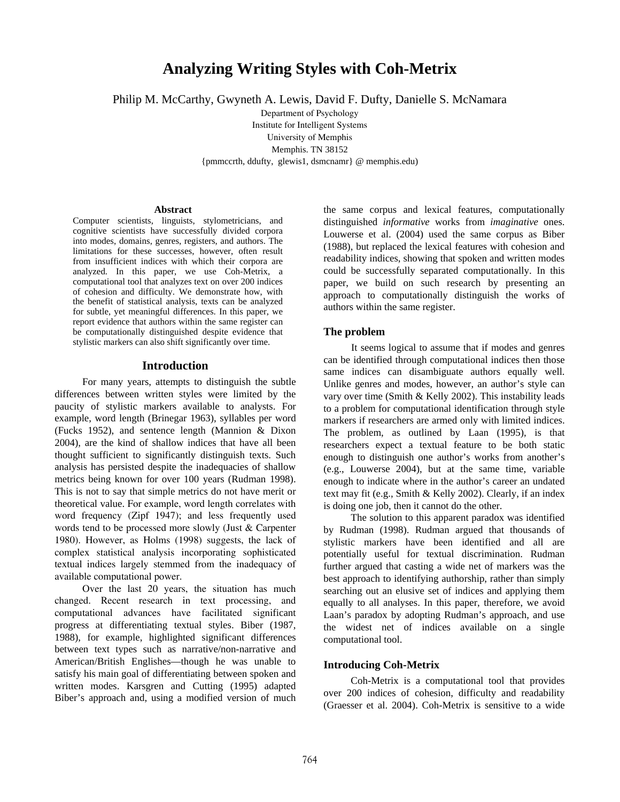# **Analyzing Writing Styles with Coh-Metrix**

Philip M. McCarthy, Gwyneth A. Lewis, David F. Dufty, Danielle S. McNamara

Department of Psychology Institute for Intelligent Systems University of Memphis Memphis. TN 38152 {pmmccrth, ddufty, glewis1, dsmcnamr} @ memphis.edu)

#### **Abstract**

Computer scientists, linguists, stylometricians, and cognitive scientists have successfully divided corpora into modes, domains, genres, registers, and authors. The limitations for these successes, however, often result from insufficient indices with which their corpora are analyzed. In this paper, we use Coh-Metrix, a computational tool that analyzes text on over 200 indices of cohesion and difficulty. We demonstrate how, with the benefit of statistical analysis, texts can be analyzed for subtle, yet meaningful differences. In this paper, we report evidence that authors within the same register can be computationally distinguished despite evidence that stylistic markers can also shift significantly over time.

#### **Introduction**

For many years, attempts to distinguish the subtle differences between written styles were limited by the paucity of stylistic markers available to analysts. For example, word length (Brinegar 1963), syllables per word (Fucks 1952), and sentence length (Mannion & Dixon 2004), are the kind of shallow indices that have all been thought sufficient to significantly distinguish texts. Such analysis has persisted despite the inadequacies of shallow metrics being known for over 100 years (Rudman 1998). This is not to say that simple metrics do not have merit or theoretical value. For example, word length correlates with word frequency (Zipf 1947); and less frequently used words tend to be processed more slowly (Just & Carpenter 1980). However, as Holms (1998) suggests, the lack of complex statistical analysis incorporating sophisticated textual indices largely stemmed from the inadequacy of available computational power.

Over the last 20 years, the situation has much changed. Recent research in text processing, and computational advances have facilitated significant progress at differentiating textual styles. Biber (1987, 1988), for example, highlighted significant differences between text types such as narrative/non-narrative and American/British Englishes—though he was unable to satisfy his main goal of differentiating between spoken and written modes. Karsgren and Cutting (1995) adapted Biber's approach and, using a modified version of much

the same corpus and lexical features, computationally distinguished *informative* works from *imaginative* ones. Louwerse et al. (2004) used the same corpus as Biber (1988), but replaced the lexical features with cohesion and readability indices, showing that spoken and written modes could be successfully separated computationally. In this paper, we build on such research by presenting an approach to computationally distinguish the works of authors within the same register.

#### **The problem**

It seems logical to assume that if modes and genres can be identified through computational indices then those same indices can disambiguate authors equally well. Unlike genres and modes, however, an author's style can vary over time (Smith & Kelly 2002). This instability leads to a problem for computational identification through style markers if researchers are armed only with limited indices. The problem, as outlined by Laan (1995), is that researchers expect a textual feature to be both static enough to distinguish one author's works from another's (e.g., Louwerse 2004), but at the same time, variable enough to indicate where in the author's career an undated text may fit (e.g., Smith & Kelly 2002). Clearly, if an index is doing one job, then it cannot do the other.

The solution to this apparent paradox was identified by Rudman (1998). Rudman argued that thousands of stylistic markers have been identified and all are potentially useful for textual discrimination. Rudman further argued that casting a wide net of markers was the best approach to identifying authorship, rather than simply searching out an elusive set of indices and applying them equally to all analyses. In this paper, therefore, we avoid Laan's paradox by adopting Rudman's approach, and use the widest net of indices available on a single computational tool.

#### **Introducing Coh-Metrix**

Coh-Metrix is a computational tool that provides over 200 indices of cohesion, difficulty and readability (Graesser et al. 2004). Coh-Metrix is sensitive to a wide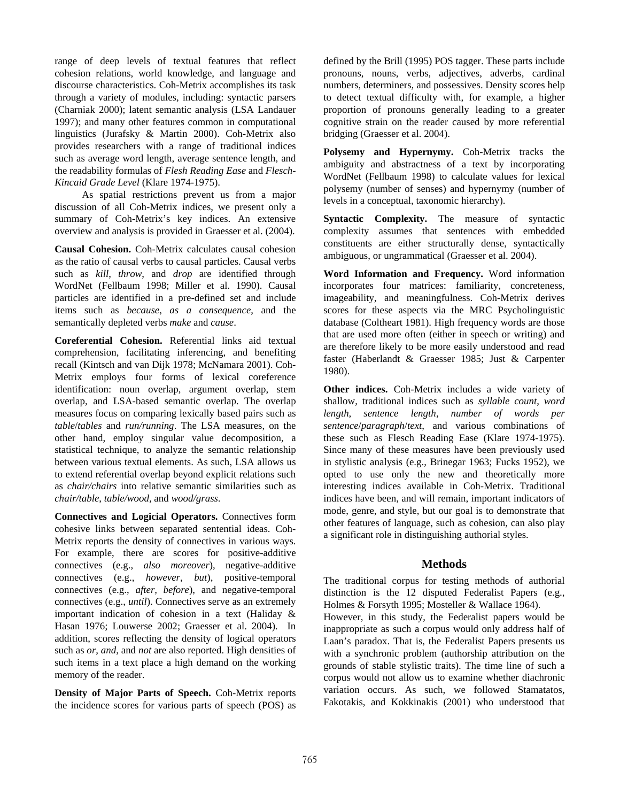range of deep levels of textual features that reflect cohesion relations, world knowledge, and language and discourse characteristics. Coh-Metrix accomplishes its task through a variety of modules, including: syntactic parsers (Charniak 2000); latent semantic analysis (LSA Landauer 1997); and many other features common in computational linguistics (Jurafsky & Martin 2000). Coh-Metrix also provides researchers with a range of traditional indices such as average word length, average sentence length, and the readability formulas of *Flesh Reading Ease* and *Flesch-Kincaid Grade Level* (Klare 1974-1975).

As spatial restrictions prevent us from a major discussion of all Coh-Metrix indices, we present only a summary of Coh-Metrix's key indices. An extensive overview and analysis is provided in Graesser et al. (2004).

**Causal Cohesion.** Coh-Metrix calculates causal cohesion as the ratio of causal verbs to causal particles. Causal verbs such as *kill*, *throw*, and *drop* are identified through WordNet (Fellbaum 1998; Miller et al. 1990). Causal particles are identified in a pre-defined set and include items such as *because*, *as a consequence*, and the semantically depleted verbs *make* and *cause*.

**Coreferential Cohesion.** Referential links aid textual comprehension, facilitating inferencing, and benefiting recall (Kintsch and van Dijk 1978; McNamara 2001). Coh-Metrix employs four forms of lexical coreference identification: noun overlap, argument overlap, stem overlap, and LSA-based semantic overlap. The overlap measures focus on comparing lexically based pairs such as *table*/*tables* and *run/running*. The LSA measures, on the other hand, employ singular value decomposition, a statistical technique, to analyze the semantic relationship between various textual elements. As such, LSA allows us to extend referential overlap beyond explicit relations such as *chair/chairs* into relative semantic similarities such as *chair/table*, *table/wood,* and *wood/grass*.

**Connectives and Logicial Operators.** Connectives form cohesive links between separated sentential ideas. Coh-Metrix reports the density of connectives in various ways. For example, there are scores for positive-additive connectives (e.g., *also moreover*), negative-additive connectives (e.g., *however, but*), positive-temporal connectives (e.g., *after, before*), and negative-temporal connectives (e.g., *until*). Connectives serve as an extremely important indication of cohesion in a text (Haliday & Hasan 1976; Louwerse 2002; Graesser et al. 2004). In addition, scores reflecting the density of logical operators such as *or*, *and*, and *not* are also reported. High densities of such items in a text place a high demand on the working memory of the reader.

**Density of Major Parts of Speech.** Coh-Metrix reports the incidence scores for various parts of speech (POS) as

defined by the Brill (1995) POS tagger. These parts include pronouns, nouns, verbs, adjectives, adverbs, cardinal numbers, determiners, and possessives. Density scores help to detect textual difficulty with, for example, a higher proportion of pronouns generally leading to a greater cognitive strain on the reader caused by more referential bridging (Graesser et al. 2004).

**Polysemy and Hypernymy.** Coh-Metrix tracks the ambiguity and abstractness of a text by incorporating WordNet (Fellbaum 1998) to calculate values for lexical polysemy (number of senses) and hypernymy (number of levels in a conceptual, taxonomic hierarchy).

**Syntactic Complexity.** The measure of syntactic complexity assumes that sentences with embedded constituents are either structurally dense, syntactically ambiguous, or ungrammatical (Graesser et al. 2004).

**Word Information and Frequency.** Word information incorporates four matrices: familiarity, concreteness, imageability, and meaningfulness. Coh-Metrix derives scores for these aspects via the MRC Psycholinguistic database (Coltheart 1981). High frequency words are those that are used more often (either in speech or writing) and are therefore likely to be more easily understood and read faster (Haberlandt & Graesser 1985; Just & Carpenter 1980).

**Other indices.** Coh-Metrix includes a wide variety of shallow, traditional indices such as *syllable count*, *word length*, *sentence length*, *number of words per sentence*/*paragraph*/*text*, and various combinations of these such as Flesch Reading Ease (Klare 1974-1975). Since many of these measures have been previously used in stylistic analysis (e.g., Brinegar 1963; Fucks 1952), we opted to use only the new and theoretically more interesting indices available in Coh-Metrix. Traditional indices have been, and will remain, important indicators of mode, genre, and style, but our goal is to demonstrate that other features of language, such as cohesion, can also play a significant role in distinguishing authorial styles.

# **Methods**

The traditional corpus for testing methods of authorial distinction is the 12 disputed Federalist Papers (e.g., Holmes & Forsyth 1995; Mosteller & Wallace 1964).

However, in this study, the Federalist papers would be inappropriate as such a corpus would only address half of Laan's paradox. That is, the Federalist Papers presents us with a synchronic problem (authorship attribution on the grounds of stable stylistic traits). The time line of such a corpus would not allow us to examine whether diachronic variation occurs. As such, we followed Stamatatos, Fakotakis, and Kokkinakis (2001) who understood that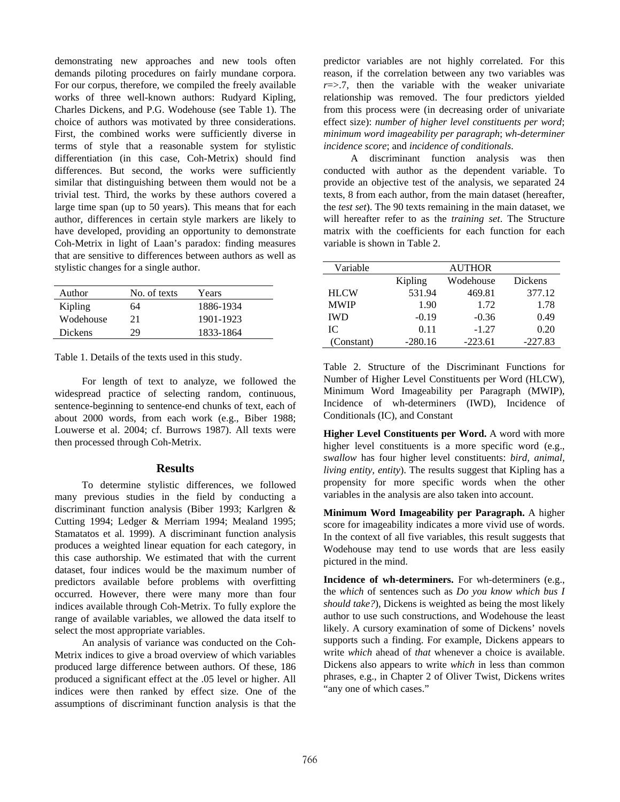demonstrating new approaches and new tools often demands piloting procedures on fairly mundane corpora. For our corpus, therefore, we compiled the freely available works of three well-known authors: Rudyard Kipling, Charles Dickens, and P.G. Wodehouse (see Table 1). The choice of authors was motivated by three considerations. First, the combined works were sufficiently diverse in terms of style that a reasonable system for stylistic differentiation (in this case, Coh-Metrix) should find differences. But second, the works were sufficiently similar that distinguishing between them would not be a trivial test. Third, the works by these authors covered a large time span (up to 50 years). This means that for each author, differences in certain style markers are likely to have developed, providing an opportunity to demonstrate Coh-Metrix in light of Laan's paradox: finding measures that are sensitive to differences between authors as well as stylistic changes for a single author.

| Author         | No. of texts | Years     |
|----------------|--------------|-----------|
| Kipling        | 64           | 1886-1934 |
| Wodehouse      | 21           | 1901-1923 |
| <b>Dickens</b> | 29           | 1833-1864 |

Table 1. Details of the texts used in this study.

For length of text to analyze, we followed the widespread practice of selecting random, continuous, sentence-beginning to sentence-end chunks of text, each of about 2000 words, from each work (e.g., Biber 1988; Louwerse et al. 2004; cf. Burrows 1987). All texts were then processed through Coh-Metrix.

# **Results**

To determine stylistic differences, we followed many previous studies in the field by conducting a discriminant function analysis (Biber 1993; Karlgren & Cutting 1994; Ledger & Merriam 1994; Mealand 1995; Stamatatos et al. 1999). A discriminant function analysis produces a weighted linear equation for each category, in this case authorship. We estimated that with the current dataset, four indices would be the maximum number of predictors available before problems with overfitting occurred. However, there were many more than four indices available through Coh-Metrix. To fully explore the range of available variables, we allowed the data itself to select the most appropriate variables.

An analysis of variance was conducted on the Coh-Metrix indices to give a broad overview of which variables produced large difference between authors. Of these, 186 produced a significant effect at the .05 level or higher. All indices were then ranked by effect size. One of the assumptions of discriminant function analysis is that the predictor variables are not highly correlated. For this reason, if the correlation between any two variables was  $r = > 7$ , then the variable with the weaker univariate relationship was removed. The four predictors yielded from this process were (in decreasing order of univariate effect size): *number of higher level constituents per word*; *minimum word imageability per paragraph*; *wh-determiner incidence score*; and *incidence of conditionals*.

A discriminant function analysis was then conducted with author as the dependent variable. To provide an objective test of the analysis, we separated 24 texts, 8 from each author, from the main dataset (hereafter, the *test set*). The 90 texts remaining in the main dataset, we will hereafter refer to as the *training set*. The Structure matrix with the coefficients for each function for each variable is shown in Table 2.

| Variable    |           | <b>AUTHOR</b> |           |
|-------------|-----------|---------------|-----------|
|             | Kipling   | Wodehouse     | Dickens   |
| <b>HLCW</b> | 531.94    | 469.81        | 377.12    |
| <b>MWIP</b> | 1.90      | 1.72          | 1.78      |
| <b>IWD</b>  | $-0.19$   | $-0.36$       | 0.49      |
| IC.         | 0.11      | $-1.27$       | 0.20      |
| (Constant)  | $-280.16$ | $-223.61$     | $-227.83$ |

Table 2. Structure of the Discriminant Functions for Number of Higher Level Constituents per Word (HLCW), Minimum Word Imageability per Paragraph (MWIP), Incidence of wh-determiners (IWD), Incidence of Conditionals (IC), and Constant

**Higher Level Constituents per Word.** A word with more higher level constituents is a more specific word (e.g., *swallow* has four higher level constituents: *bird, animal, living entity, entity*). The results suggest that Kipling has a propensity for more specific words when the other variables in the analysis are also taken into account.

**Minimum Word Imageability per Paragraph.** A higher score for imageability indicates a more vivid use of words. In the context of all five variables, this result suggests that Wodehouse may tend to use words that are less easily pictured in the mind.

**Incidence of wh-determiners.** For wh-determiners (e.g., the *which* of sentences such as *Do you know which bus I should take?*), Dickens is weighted as being the most likely author to use such constructions, and Wodehouse the least likely. A cursory examination of some of Dickens' novels supports such a finding. For example, Dickens appears to write *which* ahead of *that* whenever a choice is available. Dickens also appears to write *which* in less than common phrases, e.g., in Chapter 2 of Oliver Twist, Dickens writes "any one of which cases."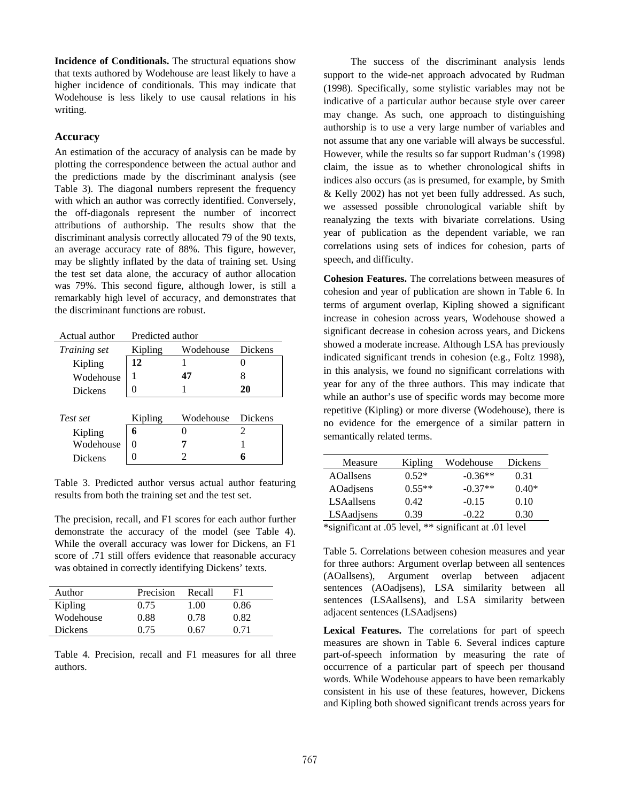**Incidence of Conditionals.** The structural equations show that texts authored by Wodehouse are least likely to have a higher incidence of conditionals. This may indicate that Wodehouse is less likely to use causal relations in his writing.

# **Accuracy**

An estimation of the accuracy of analysis can be made by plotting the correspondence between the actual author and the predictions made by the discriminant analysis (see Table 3). The diagonal numbers represent the frequency with which an author was correctly identified. Conversely, the off-diagonals represent the number of incorrect attributions of authorship. The results show that the discriminant analysis correctly allocated 79 of the 90 texts, an average accuracy rate of 88%. This figure, however, may be slightly inflated by the data of training set. Using the test set data alone, the accuracy of author allocation was 79%. This second figure, although lower, is still a remarkably high level of accuracy, and demonstrates that the discriminant functions are robust.

| Actual author  |                   | Predicted author |                |  |
|----------------|-------------------|------------------|----------------|--|
| Training set   | Kipling           | Wodehouse        | <b>Dickens</b> |  |
| Kipling        | 12                |                  |                |  |
| Wodehouse      |                   | 47               | 8              |  |
| <b>Dickens</b> | $\mathbf{\Omega}$ |                  | 20             |  |
|                |                   |                  |                |  |
|                |                   |                  |                |  |
| Test set       | Kipling           | Wodehouse        | Dickens        |  |
| Kipling        | 6                 |                  | 2              |  |
| Wodehouse      | $\mathbf{\Omega}$ |                  |                |  |
| <b>Dickens</b> |                   |                  | 6              |  |

Table 3. Predicted author versus actual author featuring results from both the training set and the test set.

The precision, recall, and F1 scores for each author further demonstrate the accuracy of the model (see Table 4). While the overall accuracy was lower for Dickens, an F1 score of .71 still offers evidence that reasonable accuracy was obtained in correctly identifying Dickens' texts.

| Author    | Precision | Recall | F1   |
|-----------|-----------|--------|------|
| Kipling   | 0.75      | 1.00   | 0.86 |
| Wodehouse | 0.88      | 0.78   | 0.82 |
| Dickens   | 0.75      | በ 67   | 0.71 |

Table 4. Precision, recall and F1 measures for all three authors.

The success of the discriminant analysis lends support to the wide-net approach advocated by Rudman (1998). Specifically, some stylistic variables may not be indicative of a particular author because style over career may change. As such, one approach to distinguishing authorship is to use a very large number of variables and not assume that any one variable will always be successful. However, while the results so far support Rudman's (1998) claim, the issue as to whether chronological shifts in indices also occurs (as is presumed, for example, by Smith & Kelly 2002) has not yet been fully addressed. As such, we assessed possible chronological variable shift by reanalyzing the texts with bivariate correlations. Using year of publication as the dependent variable, we ran correlations using sets of indices for cohesion, parts of speech, and difficulty.

**Cohesion Features.** The correlations between measures of cohesion and year of publication are shown in Table 6. In terms of argument overlap, Kipling showed a significant increase in cohesion across years, Wodehouse showed a significant decrease in cohesion across years, and Dickens showed a moderate increase. Although LSA has previously indicated significant trends in cohesion (e.g., Foltz 1998), in this analysis, we found no significant correlations with year for any of the three authors. This may indicate that while an author's use of specific words may become more repetitive (Kipling) or more diverse (Wodehouse), there is no evidence for the emergence of a similar pattern in semantically related terms.

| Measure          | Kipling  | Wodehouse | Dickens |
|------------------|----------|-----------|---------|
| <b>AOallsens</b> | $0.52*$  | $-0.36**$ | 0.31    |
| AOadjsens        | $0.55**$ | $-0.37**$ | $0.40*$ |
| LSAallsens       | 0.42     | $-0.15$   | 0.10    |
| LSAadjsens       | በ 39     | -0.22     | 0.30    |

\*significant at .05 level, \*\* significant at .01 level

Table 5. Correlations between cohesion measures and year for three authors: Argument overlap between all sentences (AOallsens), Argument overlap between adjacent sentences (AOadjsens), LSA similarity between all sentences (LSAallsens), and LSA similarity between adjacent sentences (LSAadjsens)

**Lexical Features.** The correlations for part of speech measures are shown in Table 6. Several indices capture part-of-speech information by measuring the rate of occurrence of a particular part of speech per thousand words. While Wodehouse appears to have been remarkably consistent in his use of these features, however, Dickens and Kipling both showed significant trends across years for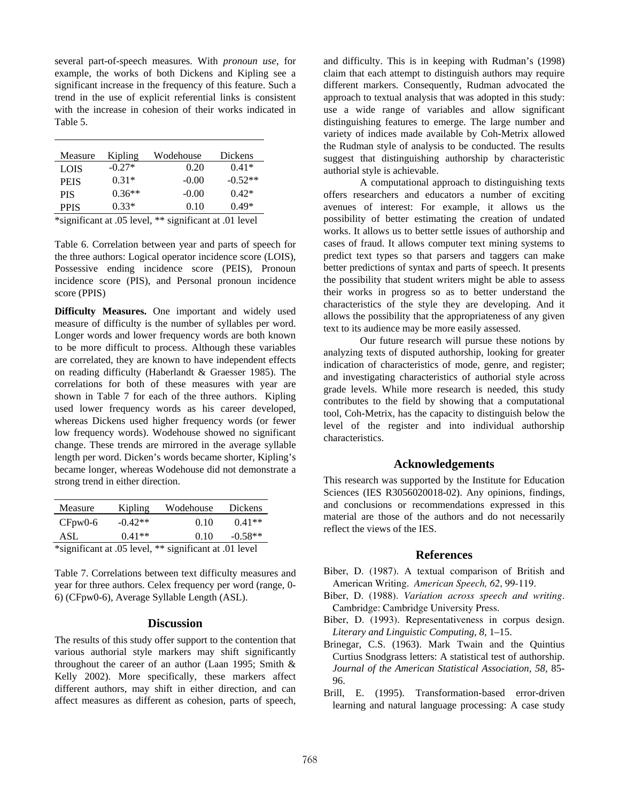several part-of-speech measures. With *pronoun use*, for example, the works of both Dickens and Kipling see a significant increase in the frequency of this feature. Such a trend in the use of explicit referential links is consistent with the increase in cohesion of their works indicated in Table 5.

| Measure     | Kipling  | Wodehouse | <b>Dickens</b> |
|-------------|----------|-----------|----------------|
| LOIS        | $-0.27*$ | 0.20      | $0.41*$        |
| <b>PEIS</b> | $0.31*$  | $-0.00$   | $-0.52**$      |
| <b>PIS</b>  | $0.36**$ | $-0.00$   | $0.42*$        |
| <b>PPIS</b> | $0.33*$  | 0.10      | $0.49*$        |

\*significant at .05 level, \*\* significant at .01 level

Table 6. Correlation between year and parts of speech for the three authors: Logical operator incidence score (LOIS), Possessive ending incidence score (PEIS), Pronoun incidence score (PIS), and Personal pronoun incidence score (PPIS)

**Difficulty Measures.** One important and widely used measure of difficulty is the number of syllables per word. Longer words and lower frequency words are both known to be more difficult to process. Although these variables are correlated, they are known to have independent effects on reading difficulty (Haberlandt & Graesser 1985). The correlations for both of these measures with year are shown in Table 7 for each of the three authors. Kipling used lower frequency words as his career developed, whereas Dickens used higher frequency words (or fewer low frequency words). Wodehouse showed no significant change. These trends are mirrored in the average syllable length per word. Dicken's words became shorter, Kipling's became longer, whereas Wodehouse did not demonstrate a strong trend in either direction.

| Measure                                                | Kipling   | Wodehouse | Dickens   |
|--------------------------------------------------------|-----------|-----------|-----------|
| $CFpw0-6$                                              | $-0.42**$ | 0.10      | $0.41**$  |
| ASL                                                    | $0.41**$  | 0.10      | $-0.58**$ |
| *significant at .05 level, ** significant at .01 level |           |           |           |

Table 7. Correlations between text difficulty measures and year for three authors. Celex frequency per word (range, 0- 6) (CFpw0-6), Average Syllable Length (ASL).

# **Discussion**

The results of this study offer support to the contention that various authorial style markers may shift significantly throughout the career of an author (Laan 1995; Smith & Kelly 2002). More specifically, these markers affect different authors, may shift in either direction, and can affect measures as different as cohesion, parts of speech,

and difficulty. This is in keeping with Rudman's (1998) claim that each attempt to distinguish authors may require different markers. Consequently, Rudman advocated the approach to textual analysis that was adopted in this study: use a wide range of variables and allow significant distinguishing features to emerge. The large number and variety of indices made available by Coh-Metrix allowed the Rudman style of analysis to be conducted. The results suggest that distinguishing authorship by characteristic authorial style is achievable.

 A computational approach to distinguishing texts offers researchers and educators a number of exciting avenues of interest: For example, it allows us the possibility of better estimating the creation of undated works. It allows us to better settle issues of authorship and cases of fraud. It allows computer text mining systems to predict text types so that parsers and taggers can make better predictions of syntax and parts of speech. It presents the possibility that student writers might be able to assess their works in progress so as to better understand the characteristics of the style they are developing. And it allows the possibility that the appropriateness of any given text to its audience may be more easily assessed.

 Our future research will pursue these notions by analyzing texts of disputed authorship, looking for greater indication of characteristics of mode, genre, and register; and investigating characteristics of authorial style across grade levels. While more research is needed, this study contributes to the field by showing that a computational tool, Coh-Metrix, has the capacity to distinguish below the level of the register and into individual authorship characteristics.

### **Acknowledgements**

This research was supported by the Institute for Education Sciences (IES R3056020018-02). Any opinions, findings, and conclusions or recommendations expressed in this material are those of the authors and do not necessarily reflect the views of the IES.

#### **References**

- Biber, D. (1987). A textual comparison of British and American Writing. *American Speech, 62*, 99-119.
- Biber, D. (1988). *Variation across speech and writing*. Cambridge: Cambridge University Press.
- Biber, D. (1993). Representativeness in corpus design. *Literary and Linguistic Computing*, *8*, 1–15.
- Brinegar, C.S. (1963). Mark Twain and the Quintius Curtius Snodgrass letters: A statistical test of authorship. *Journal of the American Statistical Association, 58*, 85- 96.
- Brill, E. (1995). Transformation-based error-driven learning and natural language processing: A case study